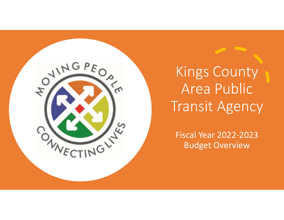

Kings County Area Public Transit Agency

Fiscal Year 2022‐2023 Budget Overview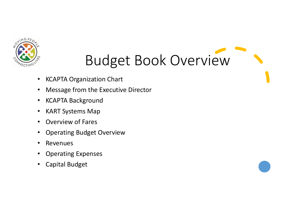

# Budget Book Overview

- •KCAPTA Organization Chart
- •Message from the Executive Director
- $\bullet$ KCAPTA Background
- $\bullet$ KART Systems Map
- •Overview of Fares
- •Operating Budget Overview
- $\bullet$ Revenues
- •Operating Expenses
- •Capital Budget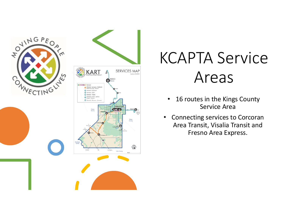

# KCAPTA Service Areas

- • 16 routes in the Kings County Service Area
- Connecting services to Corcoran Area Transit, Visalia Transit and Fresno Area Express.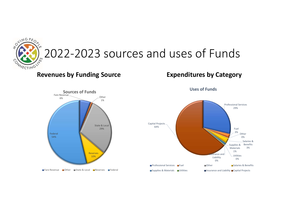

# 2022-2023 sources and uses of Funds

#### **Revenues by Funding Source Expenditures by Category**





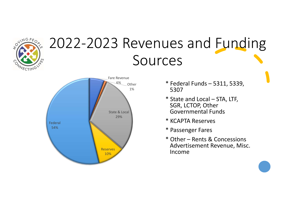

## 2022‐2023 Revenues and Funding Sources



- \* Federal Funds 5311, 5339, 5307
- \* State and Local STA, LTF, SGR, LCTOP, Other Governmental Funds
- \* KCAPTA Reserves
- \* Passenger Fares
- \* Other Rents & Concessions Advertisement Revenue, Misc. Income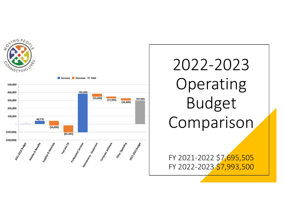



# 2022‐2023 Operating Budget Comparison

FY 2021‐2022 \$7,695,505 FY 2022‐2023 \$7,993,500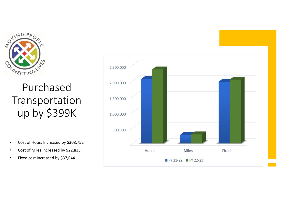

### Purchased Transportation up by \$399K

- •Cost of Hours Increased by \$308,752
- •Cost of Miles Increased by \$22,833
- •Fixed cost Increased by \$37,644

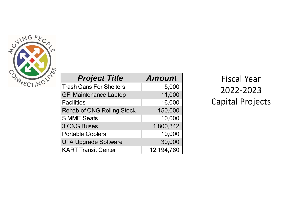

| <b>Project Title</b>              | <b>Amount</b> |
|-----------------------------------|---------------|
| <b>Trash Cans For Shelters</b>    | 5,000         |
| <b>GFI Maintenance Laptop</b>     | 11,000        |
| <b>Facilities</b>                 | 16,000        |
| <b>Rehab of CNG Rolling Stock</b> | 150,000       |
| <b>SIMME Seats</b>                | 10,000        |
| <b>3 CNG Buses</b>                | 1,800,342     |
| <b>Portable Coolers</b>           | 10,000        |
| <b>UTA Upgrade Software</b>       | 30,000        |
| <b>KART Transit Center</b>        | 12,194,780    |

Fiscal Year 2022‐2023 Capital Projects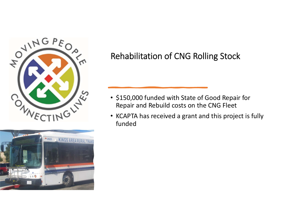



#### Rehabilitation of CNG Rolling Stock

- \$150,000 funded with State of Good Repair for Repair and Rebuild costs on the CNG Fleet
- KCAPTA has received a grant and this project is fully funded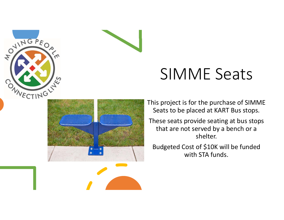



This project is for the purchase of SIMME Seats to be placed at KART Bus stops.

These seats provide seating at bus stops that are not served by a bench or a shelter.

Budgeted Cost of \$10K will be funded with STA funds.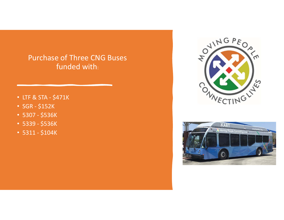#### Purchase of Three CNG Buses funded with:

- LTF & STA ‐ \$471K
- SGR ‐ \$152K
- 5307 ‐ \$536K
- 5339 ‐ \$536K
- 5311 ‐ \$104K



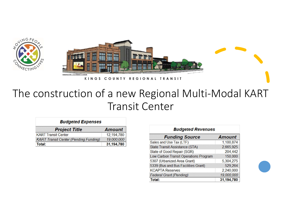



KINGS COUNTY REGIONAL TRANSIT

#### The construction of a new Regional Multi‐Modal KART Transit Center

| <b>Budgeted Expenses</b>                     |               |  |
|----------------------------------------------|---------------|--|
| <b>Project Title</b>                         | <b>Amount</b> |  |
| <b>KART Transit Center</b>                   | 12,194,780    |  |
| <b>KART Transit Center (Pending Funding)</b> | 19,000,000    |  |
| Total:                                       | 31,194,780    |  |

| <b>Budgeted Revenues</b>              |               |  |
|---------------------------------------|---------------|--|
| <b>Funding Source</b>                 | <b>Amount</b> |  |
| Sales and Use Tax (LTF)               | 1,100,874     |  |
| <b>State Transit Assistance (STA)</b> | 2,665,925     |  |
| State of Good Repair (SGR)            | 204,442       |  |
| Low Carbon Transit Operations Program | 150,000       |  |
| 5307 (Urbanized Area Grant)           | 5,304,275     |  |
| 5339 (Bus and Bus Facilities Grant)   | 529,264       |  |
| <b>KCAPTA Reserves</b>                | 2,240,000     |  |
| <b>Federal Grant (Pending)</b>        | 19,000,000    |  |
| Total:                                | 31,194,780    |  |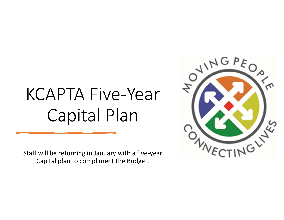# KCAPTA Five‐Year Capital Plan

Staff will be returning in January with a five‐year Capital plan to compliment the Budget.